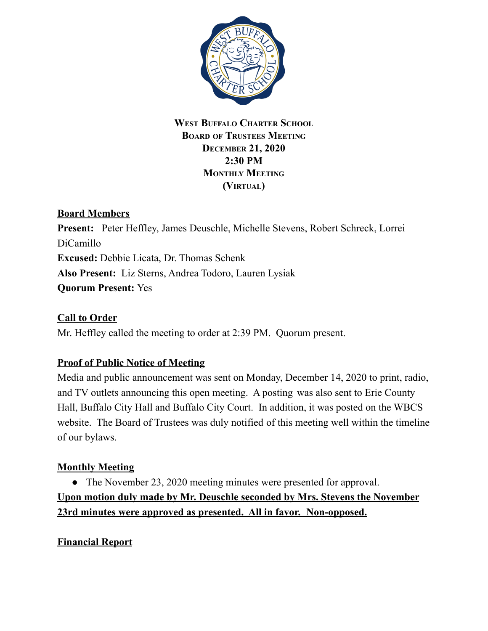

#### **WEST BUFFALO CHARTER SCHOOL BOARD OF TRUSTEES MEETING DECEMBER 21, 2020 2:30 PM MONTHLY MEETING (VIRTUAL)**

## **Board Members**

**Present:** Peter Heffley, James Deuschle, Michelle Stevens, Robert Schreck, Lorrei DiCamillo **Excused:** Debbie Licata, Dr. Thomas Schenk **Also Present:** Liz Sterns, Andrea Todoro, Lauren Lysiak **Quorum Present:** Yes

## **Call to Order**

Mr. Heffley called the meeting to order at 2:39 PM. Quorum present.

# **Proof of Public Notice of Meeting**

Media and public announcement was sent on Monday, December 14, 2020 to print, radio, and TV outlets announcing this open meeting. A posting was also sent to Erie County Hall, Buffalo City Hall and Buffalo City Court. In addition, it was posted on the WBCS website. The Board of Trustees was duly notified of this meeting well within the timeline of our bylaws.

## **Monthly Meeting**

• The November 23, 2020 meeting minutes were presented for approval. **Upon motion duly made by Mr. Deuschle seconded by Mrs. Stevens the November 23rd minutes were approved as presented. All in favor. Non-opposed.**

## **Financial Report**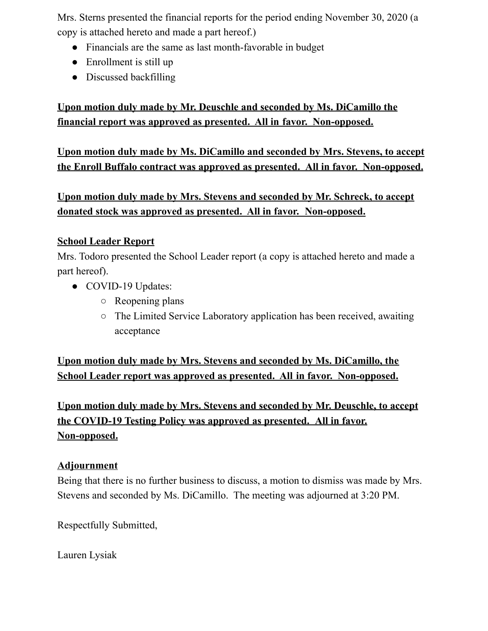Mrs. Sterns presented the financial reports for the period ending November 30, 2020 (a copy is attached hereto and made a part hereof.)

- Financials are the same as last month-favorable in budget
- $\bullet$  Enrollment is still up
- Discussed backfilling

# **Upon motion duly made by Mr. Deuschle and seconded by Ms. DiCamillo the financial report was approved as presented. All in favor. Non-opposed.**

**Upon motion duly made by Ms. DiCamillo and seconded by Mrs. Stevens, to accept the Enroll Buffalo contract was approved as presented. All in favor. Non-opposed.**

**Upon motion duly made by Mrs. Stevens and seconded by Mr. Schreck, to accept donated stock was approved as presented. All in favor. Non-opposed.**

#### **School Leader Report**

Mrs. Todoro presented the School Leader report (a copy is attached hereto and made a part hereof).

- COVID-19 Updates:
	- Reopening plans
	- The Limited Service Laboratory application has been received, awaiting acceptance

**Upon motion duly made by Mrs. Stevens and seconded by Ms. DiCamillo, the School Leader report was approved as presented. All in favor. Non-opposed.**

**Upon motion duly made by Mrs. Stevens and seconded by Mr. Deuschle, to accept the COVID-19 Testing Policy was approved as presented. All in favor. Non-opposed.**

#### **Adjournment**

Being that there is no further business to discuss, a motion to dismiss was made by Mrs. Stevens and seconded by Ms. DiCamillo. The meeting was adjourned at 3:20 PM.

Respectfully Submitted,

Lauren Lysiak